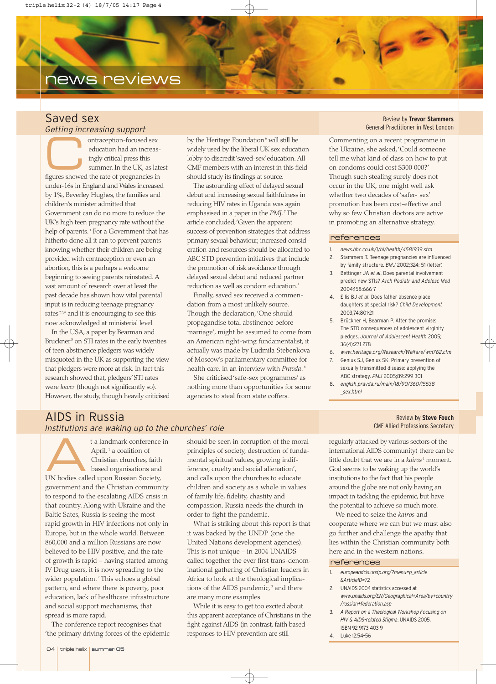# news reviews

## Saved sex *Getting increasing support*

ontraception-focused sex<br>
education had an increas-<br>
ingly critical press this<br>
summer. In the UK, as lat<br>
figures showed the rate of pregnancies in education had an increasingly critical press this summer. In the UK, as latest under-16s in England and Wales increased by 1%, Beverley Hughes, the families and children's minister admitted that Government can do no more to reduce the UK's high teen pregnancy rate without the help of parents.<sup>1</sup> For a Government that has hitherto done all it can to prevent parents knowing whether their children are being provided with contraception or even an abortion, this is a perhaps a welcome beginning to seeing parents reinstated. A vast amount of research over at least the past decade has shown how vital parental input is in reducing teenage pregnancy rates<sup>2,3,4</sup> and it is encouraging to see this now acknowledged at ministerial level.

In the USA, a paper by Bearman and Bruckner<sup>5</sup> on STI rates in the early twenties of teen abstinence pledgers was widely misquoted in the UK as supporting the view that pledgers were more at risk. In fact this research showed that, pledgers'STI rates were *lower* (though not significantly so). However, the study, though heavily criticised

by the Heritage Foundation<sup>6</sup> will still be widely used by the liberal UK sex education lobby to discredit 'saved-sex'education. All CMF members with an interest in this field should study its findings at source.

The astounding effect of delayed sexual debut and increasing sexual faithfulness in reducing HIV rates in Uganda was again emphasised in a paper in the *PMJ*. <sup>7</sup> The article concluded,'Given the apparent success of prevention strategies that address primary sexual behaviour, increased consideration and resources should be allocated to ABC STD prevention initiatives that include the promotion of risk avoidance through delayed sexual debut and reduced partner reduction as well as condom education.'

Finally, saved sex received a commendation from a most unlikely source. Though the declaration,'One should propagandise total abstinence before marriage', might be assumed to come from an American right-wing fundamentalist, it actually was made by Ludmila Stebenkova of Moscow's parliamentary committee for health care, in an interview with *Pravda*. <sup>8</sup>

She criticised 'safe-sex programmes' as nothing more than opportunities for some agencies to steal from state coffers.

#### Review by **Trevor Stammers** General Practitioner in West London

Commenting on a recent programme in the Ukraine, she asked,'Could someone tell me what kind of class on how to put on condoms could cost \$300 000?' Though such stealing surely does not occur in the UK, one might well ask whether two decades of 'safer- sex' promotion has been cost-effective and why so few Christian doctors are active in promoting an alternative strategy.

#### references

- 1. *news.bbc.co.uk/1/hi/health/4581939.stm*
- Stammers T. Teenage pregnancies are influenced by family structure. *BMJ* 2002;324: 51 (letter)
- 3. Bettinger JA *et al*. Does parental involvement predict new STIs? *Arch Pediatr and Adolesc Med* 2004;158:666-7
- 4. Ellis BJ *et al*. Does father absence place daughters at special risk? *Child Development* 2003;74:801-21
- 5. Brückner H, Bearman P. After the promise: The STD consequences of adolescent virginity pledges. *Journal of Adolescent Health* 2005; 36(4):271-278
- 6. *www.heritage.org/Research/Welfare/wm762.cfm*
- 7. Genius SJ, Genius SK. Primary prevention of sexually transmitted disease: applying the ABC strategy. *PMJ* 2005;89:299-301
- 8. *english.pravda.ru/main/18/90/360/15538 \_sex.html*

### Review by **Steve Fouch** CMF Allied Professions Secretary

regularly attacked by various sectors of the international AIDS community) there can be little doubt that we are in a *kairos*<sup>4</sup> moment. God seems to be waking up the world's institutions to the fact that his people around the globe are not only having an impact in tackling the epidemic, but have the potential to achieve so much more.

We need to seize the *kairos* and cooperate where we can but we must also go further and challenge the apathy that lies within the Christian community both here and in the western nations.

#### references

- 1. *europeandcis.undp.org/?menu=p\_article &ArticleID=72*
- 2. UNAIDS 2004 statistics accessed at *www.unaids.org/EN/Geographical+Area/by+country /russian+federation.asp*
- 3. *A Report on a Theological Workshop Focusing on HIV & AIDS-related Stigma*. UNAIDS 2005, ISBN 92 9173 403 9
- 4. Luke 12:54–56

# AIDS in Russia *Institutions are waking up to the churches' role*

t a landmark conference in<br>
April,<sup>1</sup> a coalition of<br>
Christian churches, faith<br>
based organisations and<br>
IN bodies called upon Buscian Society. April, $1$  a coalition of Christian churches, faith UN bodies called upon Russian Society, government and the Christian community to respond to the escalating AIDS crisis in that country. Along with Ukraine and the Baltic Sates, Russia is seeing the most rapid growth in HIV infections not only in Europe, but in the whole world. Between 860,000 and a million Russians are now believed to be HIV positive, and the rate of growth is rapid – having started among IV Drug users, it is now spreading to the wider population.<sup>2</sup> This echoes a global pattern, and where there is poverty, poor education, lack of healthcare infrastructure and social support mechanisms, that spread is more rapid.

The conference report recognises that 'the primary driving forces of the epidemic

should be seen in corruption of the moral principles of society, destruction of fundamental spiritual values, growing indifference, cruelty and social alienation', and calls upon the churches to educate children and society as a whole in values of family life, fidelity, chastity and compassion. Russia needs the church in order to fight the pandemic.

What is striking about this report is that it was backed by the UNDP (one the United Nations development agencies). This is not unique – in 2004 UNAIDS called together the ever first trans-denominational gathering of Christian leaders in Africa to look at the theological implications of the AIDS pandemic,<sup>3</sup> and there are many more examples.

While it is easy to get too excited about this apparent acceptance of Christians in the fight against AIDS (in contrast, faith based responses to HIV prevention are still